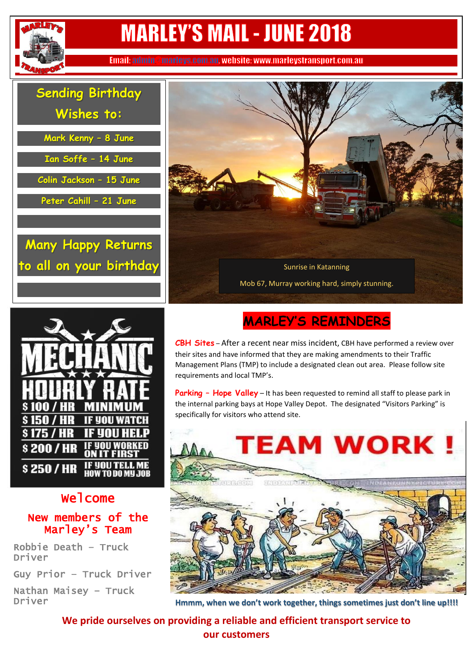

# **MARLEY'S MAIL - JUNE 2018**

Email: admin@marleys.com.au, website: www.marleystransport.com.au

**Sending Birthday Wishes to: Mark Kenny – 8 June Ian Soffe – 14 June Colin Jackson – 15 June Peter Cahill – 21 June Returns** 





# Welcome

#### New members of the Marley's Team

Robbie Death – Truck Driver

Guy Prior – Truck Driver

Nathan Maisey – Truck

## **MARLEY'S REMINDERS**

**CBH Sites** – After a recent near miss incident, CBH have performed a review over their sites and have informed that they are making amendments to their Traffic Management Plans (TMP) to include a designated clean out area. Please follow site requirements and local TMP's.

**Parking – Hope Valley** – It has been requested to remind all staff to please park in the internal parking bays at Hope Valley Depot. The designated "Visitors Parking" is specifically for visitors who attend site.



Hmmm, when we don't work together, things sometimes just don't line up!!!!

**We pride ourselves on providing a reliable and efficient transport service to our customers**